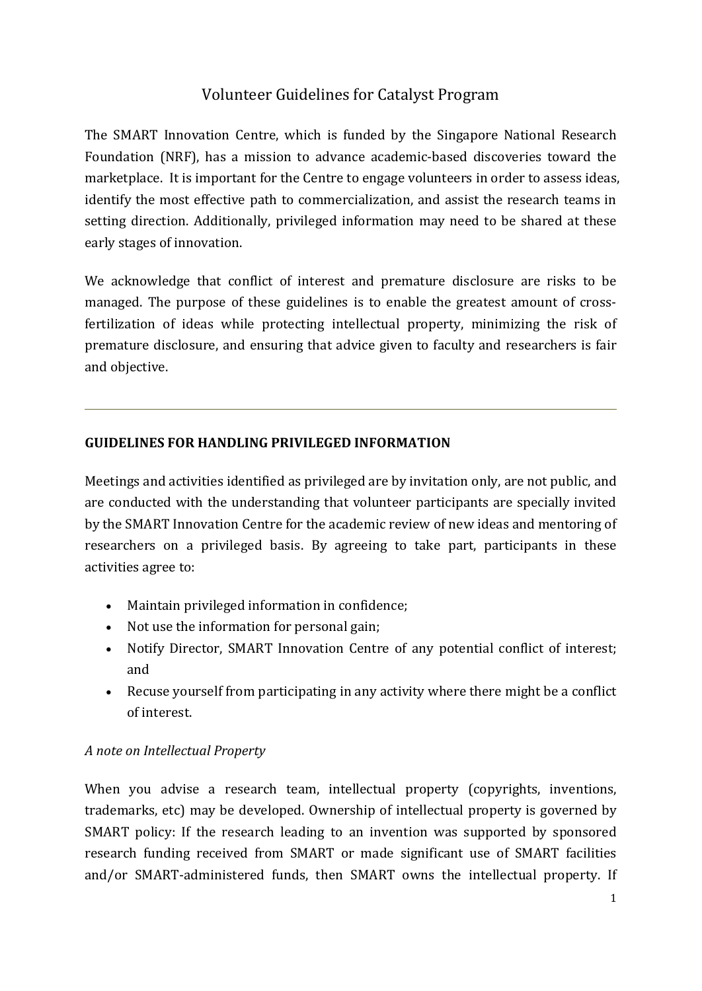# Volunteer Guidelines for Catalyst Program

The SMART Innovation Centre, which is funded by the Singapore National Research Foundation (NRF), has a mission to advance academic-based discoveries toward the marketplace. It is important for the Centre to engage volunteers in order to assess ideas, identify the most effective path to commercialization, and assist the research teams in setting direction. Additionally, privileged information may need to be shared at these early stages of innovation.

We acknowledge that conflict of interest and premature disclosure are risks to be managed. The purpose of these guidelines is to enable the greatest amount of crossfertilization of ideas while protecting intellectual property, minimizing the risk of premature disclosure, and ensuring that advice given to faculty and researchers is fair and objective.

#### **GUIDELINES FOR HANDLING PRIVILEGED INFORMATION**

Meetings and activities identified as privileged are by invitation only, are not public, and are conducted with the understanding that volunteer participants are specially invited by the SMART Innovation Centre for the academic review of new ideas and mentoring of researchers on a privileged basis. By agreeing to take part, participants in these activities agree to:

- Maintain privileged information in confidence;
- Not use the information for personal gain;
- Notify Director, SMART Innovation Centre of any potential conflict of interest; and
- Recuse yourself from participating in any activity where there might be a conflict of interest.

### *A note on Intellectual Property*

When you advise a research team, intellectual property (copyrights, inventions, trademarks, etc) may be developed. Ownership of intellectual property is governed by SMART policy: If the research leading to an invention was supported by sponsored research funding received from SMART or made significant use of SMART facilities and/or SMART-administered funds, then SMART owns the intellectual property. If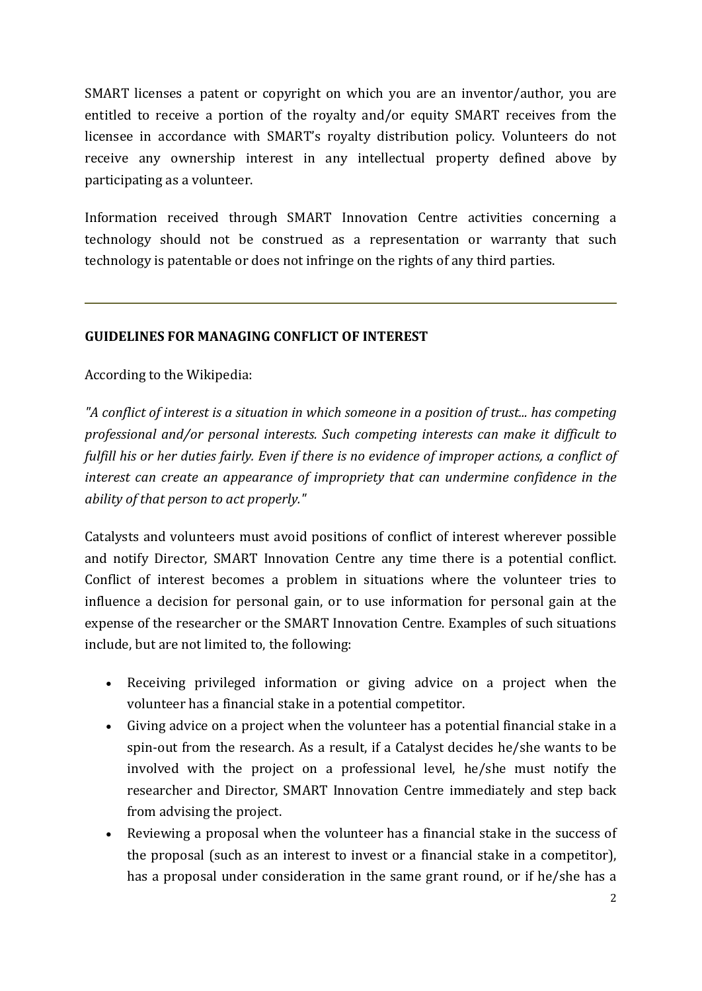SMART licenses a patent or copyright on which you are an inventor/author, you are entitled to receive a portion of the royalty and/or equity SMART receives from the licensee in accordance with SMART's royalty distribution policy. Volunteers do not receive any ownership interest in any intellectual property defined above by participating as a volunteer.

Information received through SMART Innovation Centre activities concerning a technology should not be construed as a representation or warranty that such technology is patentable or does not infringe on the rights of any third parties.

## **GUIDELINES FOR MANAGING CONFLICT OF INTEREST**

## According to the Wikipedia:

*"A conflict of interest is a situation in which someone in a position of trust... has competing professional and/or personal interests. Such competing interests can make it difficult to fulfill his or her duties fairly. Even if there is no evidence of improper actions, a conflict of interest can create an appearance of impropriety that can undermine confidence in the ability of that person to act properly."*

Catalysts and volunteers must avoid positions of conflict of interest wherever possible and notify Director, SMART Innovation Centre any time there is a potential conflict. Conflict of interest becomes a problem in situations where the volunteer tries to influence a decision for personal gain, or to use information for personal gain at the expense of the researcher or the SMART Innovation Centre. Examples of such situations include, but are not limited to, the following:

- Receiving privileged information or giving advice on a project when the volunteer has a financial stake in a potential competitor.
- Giving advice on a project when the volunteer has a potential financial stake in a spin-out from the research. As a result, if a Catalyst decides he/she wants to be involved with the project on a professional level, he/she must notify the researcher and Director, SMART Innovation Centre immediately and step back from advising the project.
- Reviewing a proposal when the volunteer has a financial stake in the success of the proposal (such as an interest to invest or a financial stake in a competitor), has a proposal under consideration in the same grant round, or if he/she has a